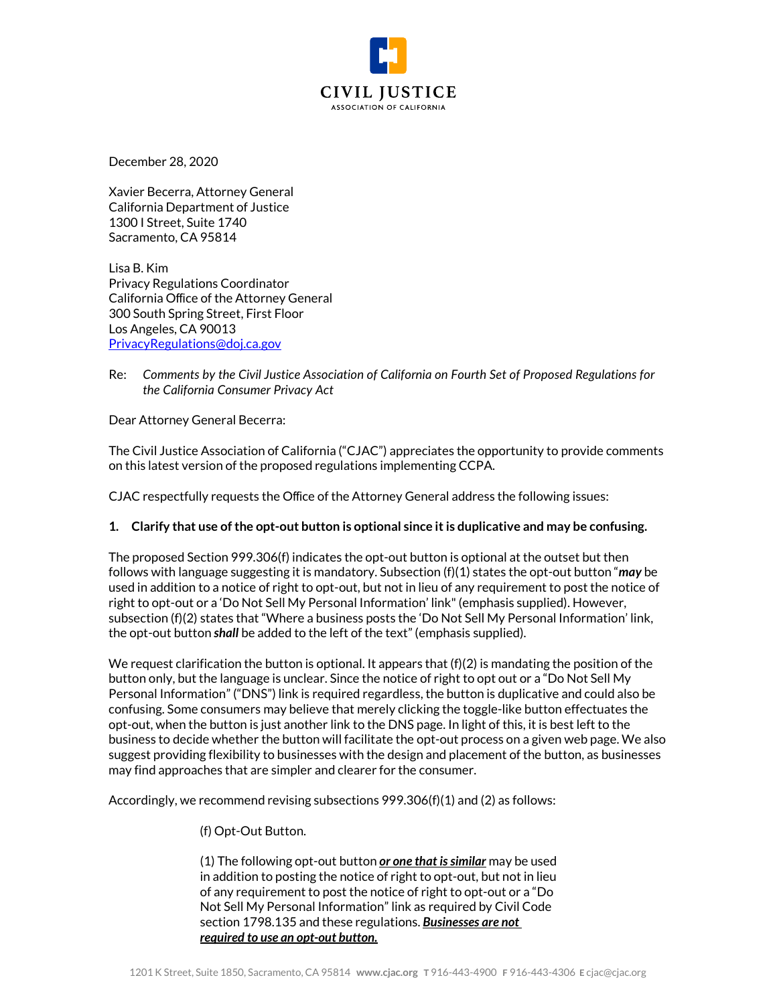

December 28, 2020

Xavier Becerra, Attorney General California Department of Justice 1300 I Street, Suite 1740 Sacramento, CA 95814

Lisa B. Kim Privacy Regulations Coordinator California Office of the Attorney General 300 South Spring Street, First Floor Los Angeles, CA 90013 [PrivacyRegulations@doj.ca.gov](mailto:PrivacyRegulations@doj.ca.gov)

Re: *Comments by the Civil Justice Association of California on Fourth Set of Proposed Regulations for the California Consumer Privacy Act*

Dear Attorney General Becerra:

The Civil Justice Association of California ("CJAC") appreciates the opportunity to provide comments on this latest version of the proposed regulations implementing CCPA.

CJAC respectfully requests the Office of the Attorney General address the following issues:

# **1. Clarify that use of the opt-out button is optional since it is duplicative and may be confusing.**

The proposed Section 999.306(f) indicates the opt-out button is optional at the outset but then follows with language suggesting it is mandatory. Subsection (f)(1) states the opt-out button "*may* be used in addition to a notice of right to opt-out, but not in lieu of any requirement to post the notice of right to opt-out or a 'Do Not Sell My Personal Information' link" (emphasis supplied). However, subsection (f)(2) states that "Where a business posts the 'Do Not Sell My Personal Information' link, the opt-out button *shall* be added to the left of the text" (emphasis supplied).

We request clarification the button is optional. It appears that  $(f)(2)$  is mandating the position of the button only, but the language is unclear. Since the notice of right to opt out or a "Do Not Sell My Personal Information" ("DNS") link is required regardless, the button is duplicative and could also be confusing. Some consumers may believe that merely clicking the toggle-like button effectuates the opt-out, when the button is just another link to the DNS page. In light of this, it is best left to the business to decide whether the button will facilitate the opt-out process on a given web page. We also suggest providing flexibility to businesses with the design and placement of the button, as businesses may find approaches that are simpler and clearer for the consumer.

Accordingly, we recommend revising subsections 999.306(f)(1) and (2) as follows:

# (f) Opt-Out Button.

(1) The following opt-out button *or one that is similar* may be used in addition to posting the notice of right to opt-out, but not in lieu of any requirement to post the notice of right to opt-out or a "Do Not Sell My Personal Information" link as required by Civil Code section 1798.135 and these regulations. *Businesses are not required to use an opt-out button.*